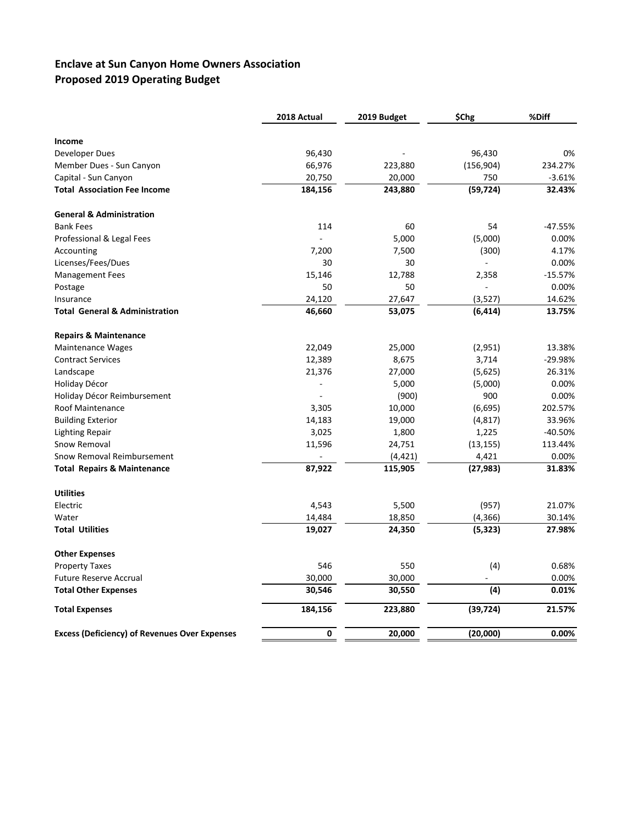## **Enclave at Sun Canyon Home Owners Association Proposed 2019 Operating Budget**

|                                                      | 2018 Actual | 2019 Budget | \$Chg      | %Diff     |  |
|------------------------------------------------------|-------------|-------------|------------|-----------|--|
| Income                                               |             |             |            |           |  |
| Developer Dues                                       | 96,430      |             | 96,430     | 0%        |  |
| Member Dues - Sun Canyon                             | 66,976      | 223,880     | (156, 904) | 234.27%   |  |
| Capital - Sun Canyon                                 | 20,750      | 20,000      | 750        | $-3.61%$  |  |
| <b>Total Association Fee Income</b>                  | 184,156     | 243,880     | (59, 724)  | 32.43%    |  |
| <b>General &amp; Administration</b>                  |             |             |            |           |  |
| <b>Bank Fees</b>                                     | 114         | 60          | 54         | $-47.55%$ |  |
| Professional & Legal Fees                            |             | 5,000       | (5,000)    | 0.00%     |  |
| Accounting                                           | 7,200       | 7,500       | (300)      | 4.17%     |  |
| Licenses/Fees/Dues                                   | 30          | 30          |            | 0.00%     |  |
| <b>Management Fees</b>                               | 15,146      | 12,788      | 2,358      | $-15.57%$ |  |
| Postage                                              | 50          | 50          |            | 0.00%     |  |
| Insurance                                            | 24,120      | 27,647      | (3,527)    | 14.62%    |  |
| <b>Total General &amp; Administration</b>            | 46,660      | 53,075      | (6, 414)   | 13.75%    |  |
| <b>Repairs &amp; Maintenance</b>                     |             |             |            |           |  |
| <b>Maintenance Wages</b>                             | 22,049      | 25,000      | (2,951)    | 13.38%    |  |
| <b>Contract Services</b>                             | 12,389      | 8,675       | 3,714      | $-29.98%$ |  |
| Landscape                                            | 21,376      | 27,000      | (5,625)    | 26.31%    |  |
| Holiday Décor                                        | $\Box$      | 5,000       | (5,000)    | 0.00%     |  |
| Holiday Décor Reimbursement                          |             | (900)       | 900        | 0.00%     |  |
| <b>Roof Maintenance</b>                              | 3,305       | 10,000      | (6,695)    | 202.57%   |  |
| <b>Building Exterior</b>                             | 14,183      | 19,000      | (4, 817)   | 33.96%    |  |
| <b>Lighting Repair</b>                               | 3,025       | 1,800       | 1,225      | $-40.50%$ |  |
| Snow Removal                                         | 11,596      | 24,751      | (13, 155)  | 113.44%   |  |
| Snow Removal Reimbursement                           |             | (4, 421)    | 4,421      | 0.00%     |  |
| <b>Total Repairs &amp; Maintenance</b>               | 87,922      | 115,905     | (27, 983)  | 31.83%    |  |
| <b>Utilities</b>                                     |             |             |            |           |  |
| Electric                                             | 4,543       | 5,500       | (957)      | 21.07%    |  |
| Water                                                | 14,484      | 18,850      | (4, 366)   | 30.14%    |  |
| <b>Total Utilities</b>                               | 19,027      | 24,350      | (5, 323)   | 27.98%    |  |
| <b>Other Expenses</b>                                |             |             |            |           |  |
| <b>Property Taxes</b>                                | 546         | 550         | (4)        | 0.68%     |  |
| <b>Future Reserve Accrual</b>                        | 30,000      | 30,000      |            | 0.00%     |  |
| <b>Total Other Expenses</b>                          | 30,546      | 30,550      | (4)        | 0.01%     |  |
| <b>Total Expenses</b>                                | 184,156     | 223,880     | (39, 724)  | 21.57%    |  |
| <b>Excess (Deficiency) of Revenues Over Expenses</b> | 0           | 20,000      | (20,000)   | 0.00%     |  |